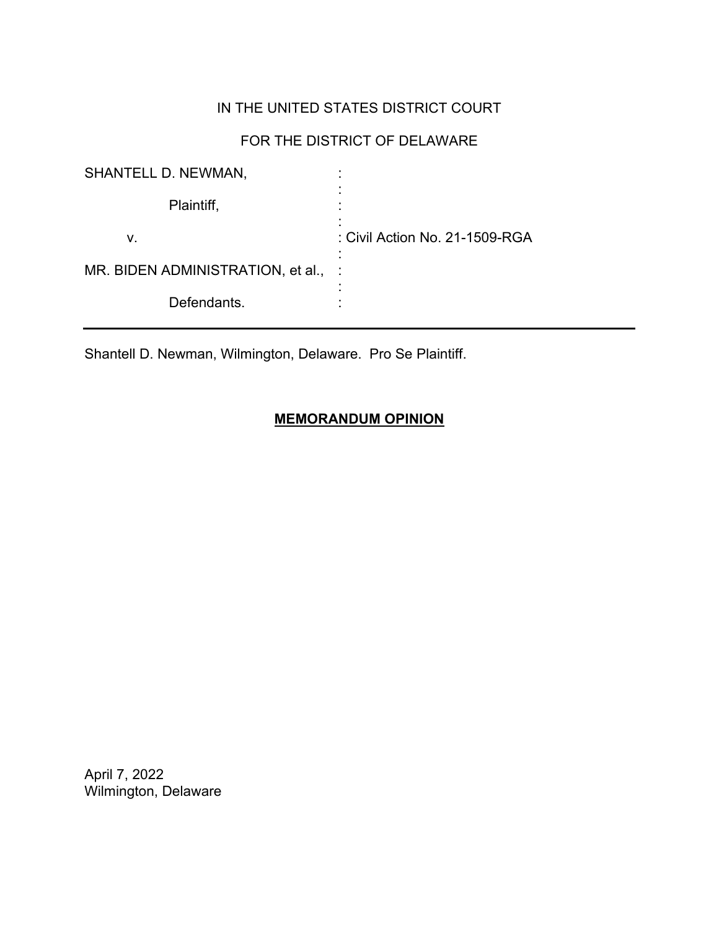# IN THE UNITED STATES DISTRICT COURT

# FOR THE DISTRICT OF DELAWARE

| <b>SHANTELL D. NEWMAN,</b>        |                                |
|-----------------------------------|--------------------------------|
| Plaintiff,                        |                                |
| v.                                | : Civil Action No. 21-1509-RGA |
| MR. BIDEN ADMINISTRATION, et al., |                                |
| Defendants.                       |                                |

Shantell D. Newman, Wilmington, Delaware. Pro Se Plaintiff.

## **MEMORANDUM OPINION**

April 7, 2022 Wilmington, Delaware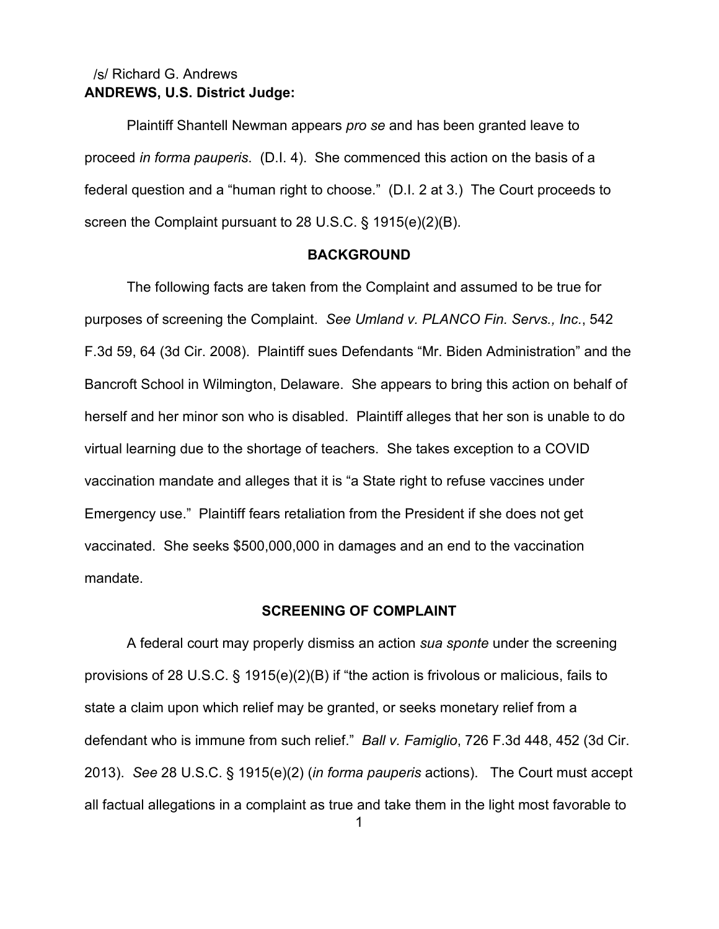## **ANDREWS, U.S. District Judge:** /s/ Richard G. Andrews

Plaintiff Shantell Newman appears *pro se* and has been granted leave to proceed *in forma pauperis*. (D.I. 4). She commenced this action on the basis of a federal question and a "human right to choose." (D.I. 2 at 3.) The Court proceeds to screen the Complaint pursuant to 28 U.S.C. § 1915(e)(2)(B).

#### **BACKGROUND**

The following facts are taken from the Complaint and assumed to be true for purposes of screening the Complaint. *See Umland v. PLANCO Fin. Servs., Inc.*, 542 F.3d 59, 64 (3d Cir. 2008). Plaintiff sues Defendants "Mr. Biden Administration" and the Bancroft School in Wilmington, Delaware. She appears to bring this action on behalf of herself and her minor son who is disabled. Plaintiff alleges that her son is unable to do virtual learning due to the shortage of teachers. She takes exception to a COVID vaccination mandate and alleges that it is "a State right to refuse vaccines under Emergency use." Plaintiff fears retaliation from the President if she does not get vaccinated. She seeks \$500,000,000 in damages and an end to the vaccination mandate.

#### **SCREENING OF COMPLAINT**

A federal court may properly dismiss an action *sua sponte* under the screening provisions of 28 U.S.C. § 1915(e)(2)(B) if "the action is frivolous or malicious, fails to state a claim upon which relief may be granted, or seeks monetary relief from a defendant who is immune from such relief." *Ball v. Famiglio*, 726 F.3d 448, 452 (3d Cir. 2013). *See* 28 U.S.C. § 1915(e)(2) (*in forma pauperis* actions). The Court must accept all factual allegations in a complaint as true and take them in the light most favorable to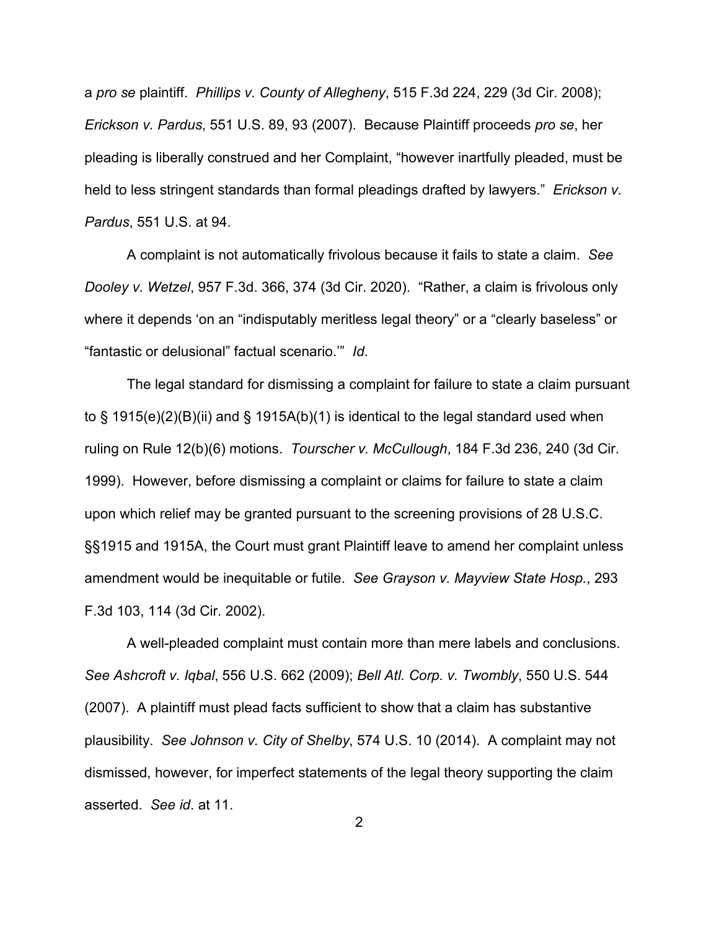a *pro se* plaintiff. *Phillips v. County of Allegheny*, 515 F.3d 224, 229 (3d Cir. 2008); *Erickson v. Pardus*, 551 U.S. 89, 93 (2007). Because Plaintiff proceeds *pro se*, her pleading is liberally construed and her Complaint, "however inartfully pleaded, must be held to less stringent standards than formal pleadings drafted by lawyers." *Erickson v. Pardus*, 551 U.S. at 94.

A complaint is not automatically frivolous because it fails to state a claim. *See Dooley v. Wetzel*, 957 F.3d. 366, 374 (3d Cir. 2020). "Rather, a claim is frivolous only where it depends 'on an "indisputably meritless legal theory" or a "clearly baseless" or "fantastic or delusional" factual scenario.'" *Id*.

The legal standard for dismissing a complaint for failure to state a claim pursuant to § 1915(e)(2)(B)(ii) and § 1915A(b)(1) is identical to the legal standard used when ruling on Rule 12(b)(6) motions. *Tourscher v. McCullough*, 184 F.3d 236, 240 (3d Cir. 1999). However, before dismissing a complaint or claims for failure to state a claim upon which relief may be granted pursuant to the screening provisions of 28 U.S.C. §§1915 and 1915A, the Court must grant Plaintiff leave to amend her complaint unless amendment would be inequitable or futile. *See Grayson v. Mayview State Hosp.*, 293 F.3d 103, 114 (3d Cir. 2002).

A well-pleaded complaint must contain more than mere labels and conclusions. *See Ashcroft v. Iqbal*, 556 U.S. 662 (2009); *Bell Atl. Corp. v. Twombly*, 550 U.S. 544 (2007). A plaintiff must plead facts sufficient to show that a claim has substantive plausibility. *See Johnson v. City of Shelby*, 574 U.S. 10 (2014). A complaint may not dismissed, however, for imperfect statements of the legal theory supporting the claim asserted. *See id*. at 11.

2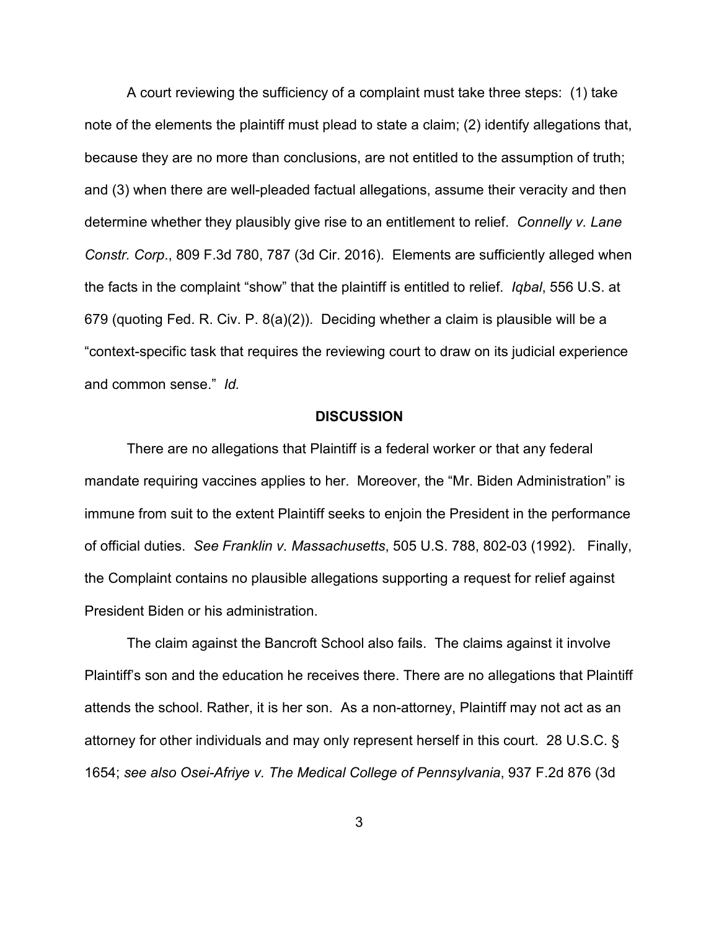A court reviewing the sufficiency of a complaint must take three steps: (1) take note of the elements the plaintiff must plead to state a claim; (2) identify allegations that, because they are no more than conclusions, are not entitled to the assumption of truth; and (3) when there are well-pleaded factual allegations, assume their veracity and then determine whether they plausibly give rise to an entitlement to relief. *Connelly v. Lane Constr. Corp*., 809 F.3d 780, 787 (3d Cir. 2016). Elements are sufficiently alleged when the facts in the complaint "show" that the plaintiff is entitled to relief. *Iqbal*, 556 U.S. at 679 (quoting Fed. R. Civ. P. 8(a)(2)). Deciding whether a claim is plausible will be a "context-specific task that requires the reviewing court to draw on its judicial experience and common sense." *Id.*

#### **DISCUSSION**

There are no allegations that Plaintiff is a federal worker or that any federal mandate requiring vaccines applies to her. Moreover, the "Mr. Biden Administration" is immune from suit to the extent Plaintiff seeks to enjoin the President in the performance of official duties. *See Franklin v. Massachusetts*, 505 U.S. 788, 802-03 (1992). Finally, the Complaint contains no plausible allegations supporting a request for relief against President Biden or his administration.

The claim against the Bancroft School also fails. The claims against it involve Plaintiff's son and the education he receives there. There are no allegations that Plaintiff attends the school. Rather, it is her son. As a non-attorney, Plaintiff may not act as an attorney for other individuals and may only represent herself in this court. 28 U.S.C. § 1654; *see also Osei-Afriye v. The Medical College of Pennsylvania*, 937 F.2d 876 (3d